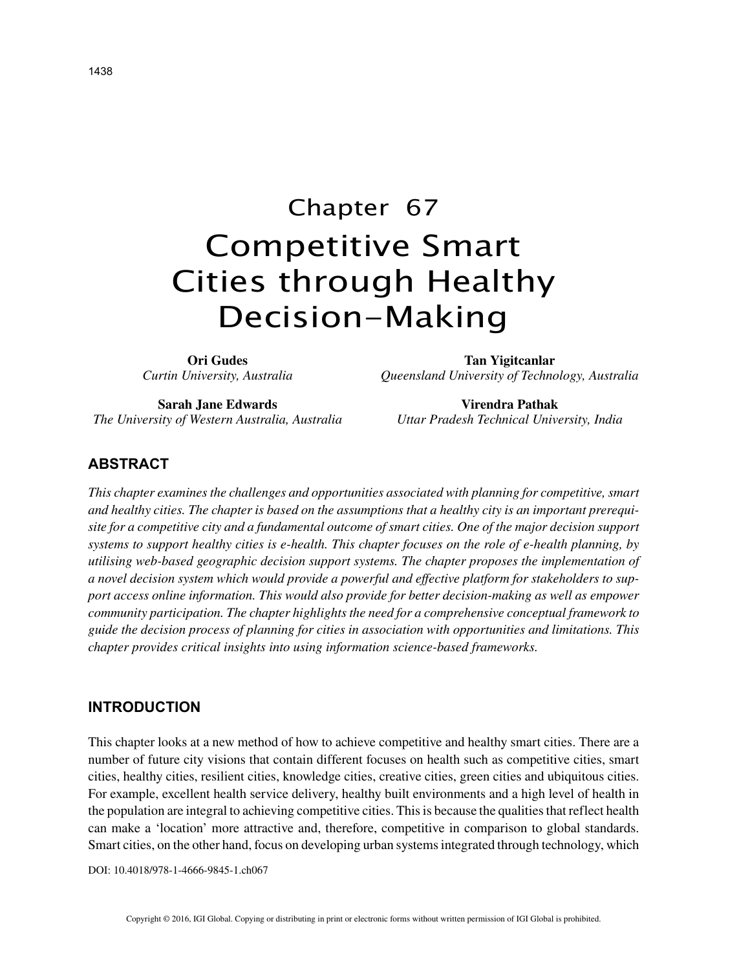# Chapter 67 Competitive Smart Cities through Healthy Decision-Making

**Ori Gudes** *Curtin University, Australia*

**Tan Yigitcanlar** *Queensland University of Technology, Australia*

**Sarah Jane Edwards** *The University of Western Australia, Australia*

**Virendra Pathak** *Uttar Pradesh Technical University, India*

# **ABSTRACT**

*This chapter examines the challenges and opportunities associated with planning for competitive, smart and healthy cities. The chapter is based on the assumptions that a healthy city is an important prerequisite for a competitive city and a fundamental outcome of smart cities. One of the major decision support systems to support healthy cities is e-health. This chapter focuses on the role of e-health planning, by utilising web-based geographic decision support systems. The chapter proposes the implementation of a novel decision system which would provide a powerful and effective platform for stakeholders to support access online information. This would also provide for better decision-making as well as empower community participation. The chapter highlights the need for a comprehensive conceptual framework to guide the decision process of planning for cities in association with opportunities and limitations. This chapter provides critical insights into using information science-based frameworks.*

### **INTRODUCTION**

This chapter looks at a new method of how to achieve competitive and healthy smart cities. There are a number of future city visions that contain different focuses on health such as competitive cities, smart cities, healthy cities, resilient cities, knowledge cities, creative cities, green cities and ubiquitous cities. For example, excellent health service delivery, healthy built environments and a high level of health in the population are integral to achieving competitive cities. This is because the qualities that reflect health can make a 'location' more attractive and, therefore, competitive in comparison to global standards. Smart cities, on the other hand, focus on developing urban systems integrated through technology, which

DOI: 10.4018/978-1-4666-9845-1.ch067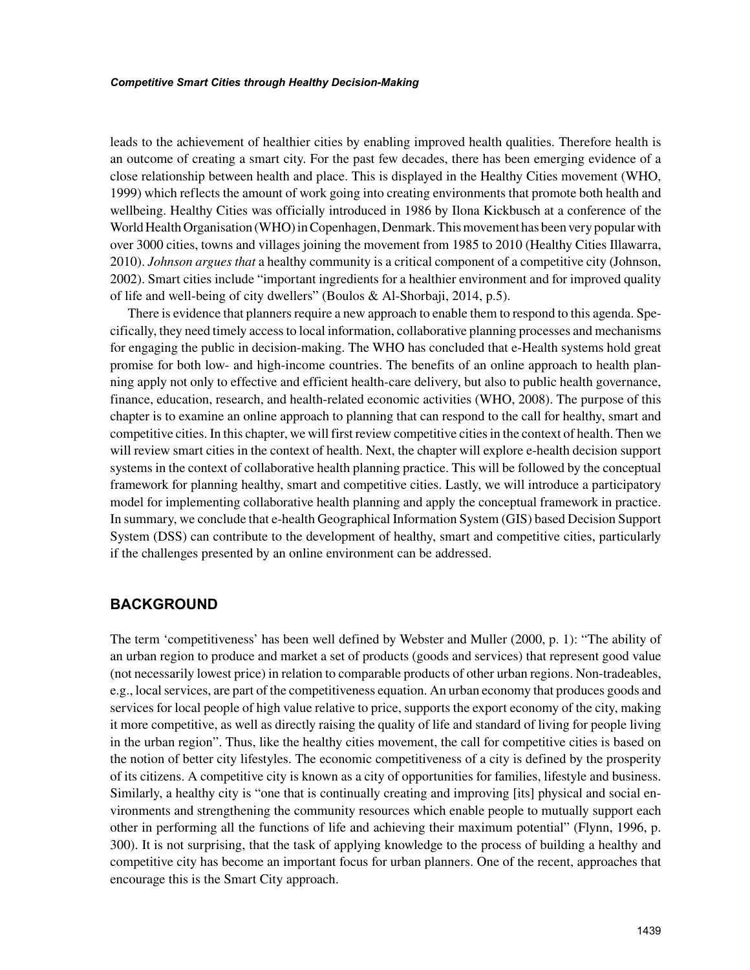leads to the achievement of healthier cities by enabling improved health qualities. Therefore health is an outcome of creating a smart city. For the past few decades, there has been emerging evidence of a close relationship between health and place. This is displayed in the Healthy Cities movement (WHO, 1999) which reflects the amount of work going into creating environments that promote both health and wellbeing. Healthy Cities was officially introduced in 1986 by Ilona Kickbusch at a conference of the World Health Organisation (WHO) in Copenhagen, Denmark. This movement has been very popular with over 3000 cities, towns and villages joining the movement from 1985 to 2010 (Healthy Cities Illawarra, 2010). *Johnson argues that* a healthy community is a critical component of a competitive city (Johnson, 2002). Smart cities include "important ingredients for a healthier environment and for improved quality of life and well-being of city dwellers" (Boulos & Al-Shorbaji, 2014, p.5).

There is evidence that planners require a new approach to enable them to respond to this agenda. Specifically, they need timely access to local information, collaborative planning processes and mechanisms for engaging the public in decision-making. The WHO has concluded that e-Health systems hold great promise for both low- and high-income countries. The benefits of an online approach to health planning apply not only to effective and efficient health-care delivery, but also to public health governance, finance, education, research, and health-related economic activities (WHO, 2008). The purpose of this chapter is to examine an online approach to planning that can respond to the call for healthy, smart and competitive cities. In this chapter, we will first review competitive cities in the context of health. Then we will review smart cities in the context of health. Next, the chapter will explore e-health decision support systems in the context of collaborative health planning practice. This will be followed by the conceptual framework for planning healthy, smart and competitive cities. Lastly, we will introduce a participatory model for implementing collaborative health planning and apply the conceptual framework in practice. In summary, we conclude that e-health Geographical Information System (GIS) based Decision Support System (DSS) can contribute to the development of healthy, smart and competitive cities, particularly if the challenges presented by an online environment can be addressed.

## **BACKGROUND**

The term 'competitiveness' has been well defined by Webster and Muller (2000, p. 1): "The ability of an urban region to produce and market a set of products (goods and services) that represent good value (not necessarily lowest price) in relation to comparable products of other urban regions. Non-tradeables, e.g., local services, are part of the competitiveness equation. An urban economy that produces goods and services for local people of high value relative to price, supports the export economy of the city, making it more competitive, as well as directly raising the quality of life and standard of living for people living in the urban region". Thus, like the healthy cities movement, the call for competitive cities is based on the notion of better city lifestyles. The economic competitiveness of a city is defined by the prosperity of its citizens. A competitive city is known as a city of opportunities for families, lifestyle and business. Similarly, a healthy city is "one that is continually creating and improving [its] physical and social environments and strengthening the community resources which enable people to mutually support each other in performing all the functions of life and achieving their maximum potential" (Flynn, 1996, p. 300). It is not surprising, that the task of applying knowledge to the process of building a healthy and competitive city has become an important focus for urban planners. One of the recent, approaches that encourage this is the Smart City approach.